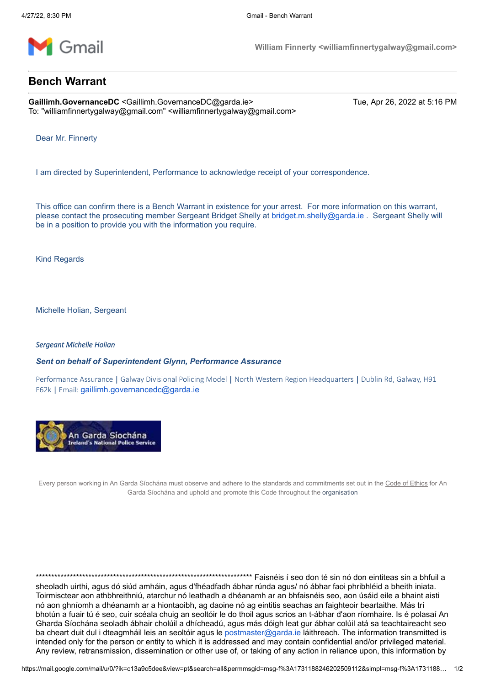

**William Finnerty <williamfinnertygalway@gmail.com>**

## **Bench Warrant**

Gaillimh.GovernanceDC <Gaillimh.GovernanceDC@garda.ie> Tue, Apr 26, 2022 at 5:16 PM To: "williamfinnertygalway@gmail.com" <williamfinnertygalway@gmail.com>

Dear Mr. Finnerty

I am directed by Superintendent, Performance to acknowledge receipt of your correspondence.

This office can confirm there is a Bench Warrant in existence for your arrest. For more information on this warrant, please contact the prosecuting member Sergeant Bridget Shelly at [bridget.m.shelly@garda.ie](mailto:bridget.m.shelly@garda.ie) . Sergeant Shelly will be in a position to provide you with the information you require.

Kind Regards

Michelle Holian, Sergeant

## *Sergeant Michelle Holian*

*Sent on behalf of Superintendent Glynn, Performance Assurance*

Performance Assurance | Galway Divisional Policing Model | North Western Region Headquarters | Dublin Rd, Galway, H91 F62k | Email: [gaillimh.governancedc@garda.ie](mailto:gaillimh.governancedc@garda.ie)



Every person working in An Garda Síochána must observe and adhere to the standards and commitments set out in the Code of Ethics for An Garda Síochána and uphold and promote this Code throughout the organisation

\*\*\*\*\*\*\*\*\*\*\*\*\*\*\*\*\*\*\*\*\*\*\*\*\*\*\*\*\*\*\*\*\*\*\*\*\*\*\*\*\*\*\*\*\*\*\*\*\*\*\*\*\*\*\*\*\*\*\*\*\*\*\*\*\*\*\*\*\*\* Faisnéis í seo don té sin nó don eintiteas sin a bhfuil a sheoladh uirthi, agus dó siúd amháin, agus d'fhéadfadh ábhar rúnda agus/ nó ábhar faoi phribhléid a bheith iniata. Toirmisctear aon athbhreithniú, atarchur nó leathadh a dhéanamh ar an bhfaisnéis seo, aon úsáid eile a bhaint aisti nó aon ghníomh a dhéanamh ar a hiontaoibh, ag daoine nó ag eintitis seachas an faighteoir beartaithe. Más trí bhotún a fuair tú é seo, cuir scéala chuig an seoltóir le do thoil agus scrios an t-ábhar d'aon ríomhaire. Is é polasaí An Gharda Síochána seoladh ábhair cholúil a dhícheadú, agus más dóigh leat gur ábhar colúil atá sa teachtaireacht seo ba cheart duit dul i dteagmháil leis an seoltóir agus le [postmaster@garda.ie](mailto:postmaster@garda.ie) láithreach. The information transmitted is intended only for the person or entity to which it is addressed and may contain confidential and/or privileged material. Any review, retransmission, dissemination or other use of, or taking of any action in reliance upon, this information by